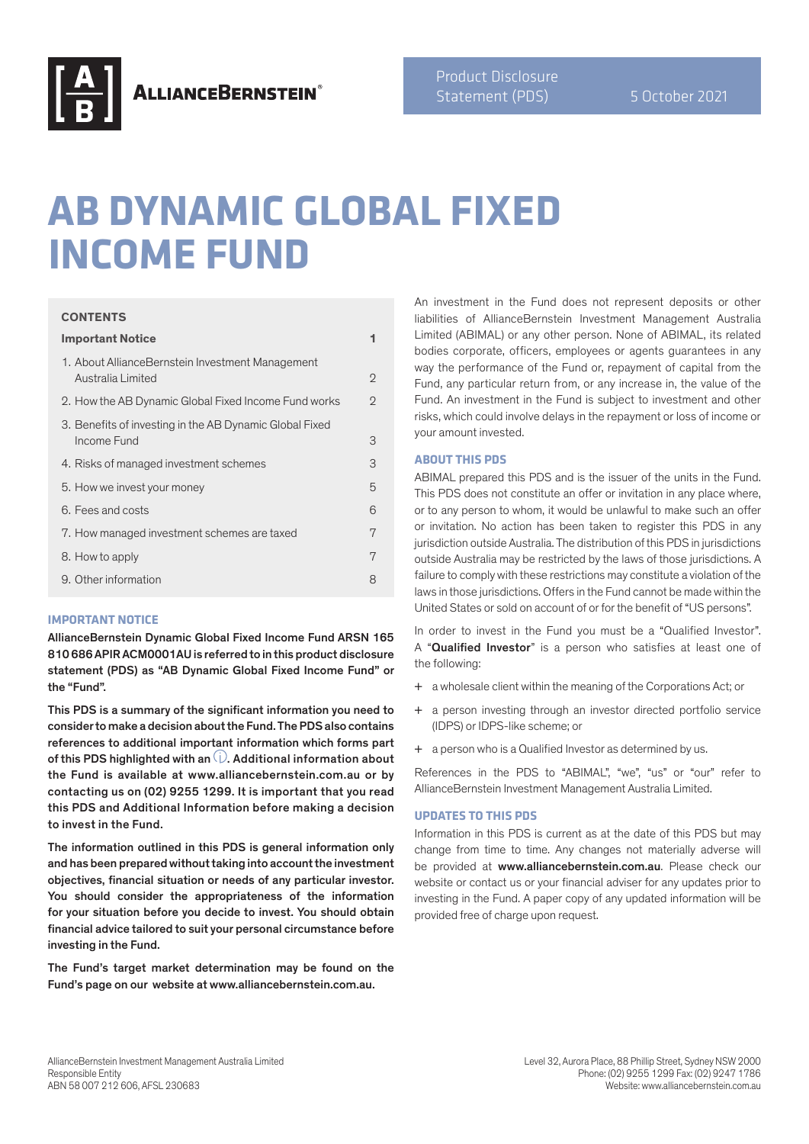

# **AB DYNAMIC GLOBAL FIXED INCOME FUND**

#### **CONTENTS**

| <b>Important Notice</b>                                                | 1              |
|------------------------------------------------------------------------|----------------|
| 1. About AllianceBernstein Investment Management<br>Australia Limited  | $\overline{2}$ |
| 2. How the AB Dynamic Global Fixed Income Fund works                   | $\overline{2}$ |
| 3. Benefits of investing in the AB Dynamic Global Fixed<br>Income Fund | 3              |
| 4. Risks of managed investment schemes                                 | 3              |
| 5. How we invest your money                                            | 5              |
| 6. Fees and costs                                                      | 6              |
| 7. How managed investment schemes are taxed                            | 7              |
| 8. How to apply                                                        | 7              |
| 9. Other information                                                   | 8              |
|                                                                        |                |

#### **IMPORTANT NOTICE**

AllianceBernstein Dynamic Global Fixed Income Fund ARSN 165 810 686 APIR ACM0001AU is referred to in this product disclosure statement (PDS) as "AB Dynamic Global Fixed Income Fund" or the "Fund".

This PDS is a summary of the significant information you need to consider to make a decision about the Fund. The PDS also contains references to additional important information which forms part of this PDS highlighted with an  $\dot{\cup}$ . Additional information about the Fund is available at www.alliancebernstein.com.au or by contacting us on (02) 9255 1299. It is important that you read this PDS and Additional Information before making a decision to invest in the Fund.

The information outlined in this PDS is general information only and has been prepared without taking into account the investment objectives, financial situation or needs of any particular investor. You should consider the appropriateness of the information for your situation before you decide to invest. You should obtain financial advice tailored to suit your personal circumstance before investing in the Fund.

The Fund's target market determination may be found on the Fund's page on our website at www.alliancebernstein.com.au.

An investment in the Fund does not represent deposits or other liabilities of AllianceBernstein Investment Management Australia Limited (ABIMAL) or any other person. None of ABIMAL, its related bodies corporate, officers, employees or agents guarantees in any way the performance of the Fund or, repayment of capital from the Fund, any particular return from, or any increase in, the value of the Fund. An investment in the Fund is subject to investment and other risks, which could involve delays in the repayment or loss of income or your amount invested.

# **ABOUT THIS PDS**

ABIMAL prepared this PDS and is the issuer of the units in the Fund. This PDS does not constitute an offer or invitation in any place where, or to any person to whom, it would be unlawful to make such an offer or invitation. No action has been taken to register this PDS in any jurisdiction outside Australia. The distribution of this PDS in jurisdictions outside Australia may be restricted by the laws of those jurisdictions. A failure to comply with these restrictions may constitute a violation of the laws in those jurisdictions. Offers in the Fund cannot be made within the United States or sold on account of or for the benefit of "US persons".

In order to invest in the Fund you must be a "Qualified Investor". A "**Qualified Investor**" is a person who satisfies at least one of the following:

- + a wholesale client within the meaning of the Corporations Act; or
- + a person investing through an investor directed portfolio service (IDPS) or IDPS-like scheme; or
- + a person who is a Qualified Investor as determined by us.

References in the PDS to "ABIMAL", "we", "us" or "our" refer to AllianceBernstein Investment Management Australia Limited.

#### **UPDATES TO THIS PDS**

Information in this PDS is current as at the date of this PDS but may change from time to time. Any changes not materially adverse will be provided at www.alliancebernstein.com.au. Please check our website or contact us or your financial adviser for any updates prior to investing in the Fund. A paper copy of any updated information will be provided free of charge upon request.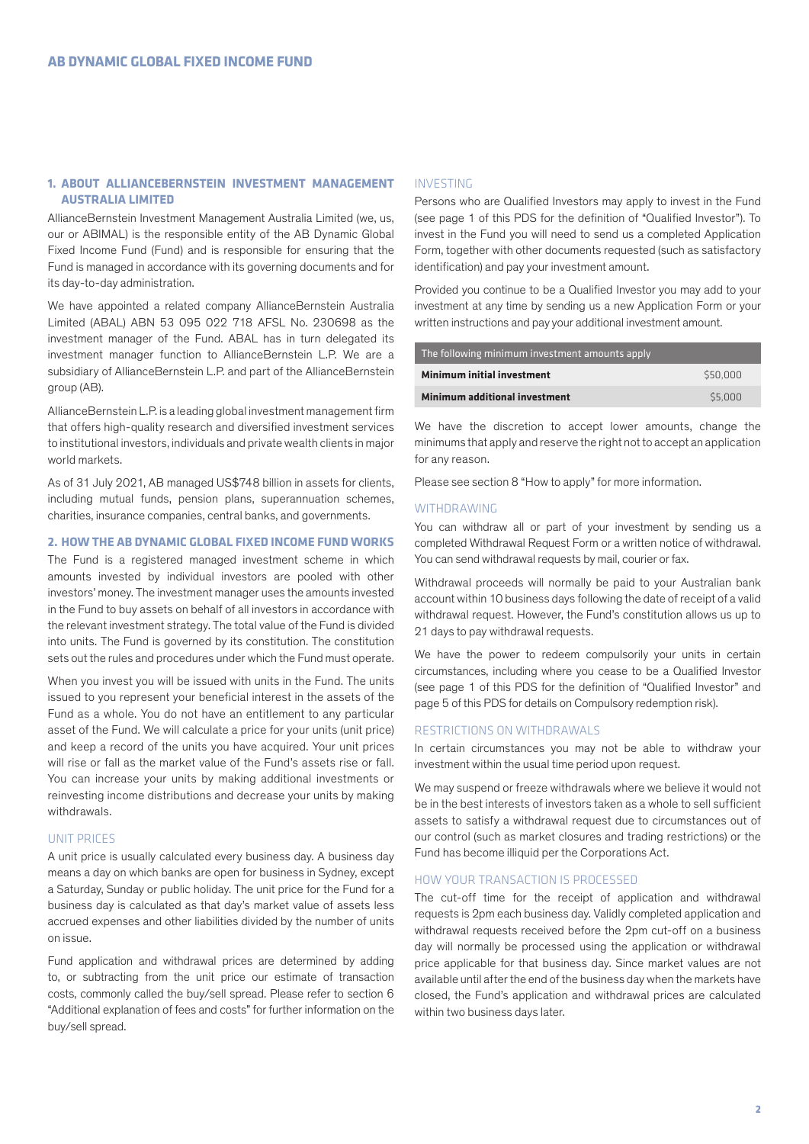# **1. ABOUT ALLIANCEBERNSTEIN INVESTMENT MANAGEMENT AUSTRALIA LIMITED**

AllianceBernstein Investment Management Australia Limited (we, us, our or ABIMAL) is the responsible entity of the AB Dynamic Global Fixed Income Fund (Fund) and is responsible for ensuring that the Fund is managed in accordance with its governing documents and for its day-to-day administration.

We have appointed a related company AllianceBernstein Australia Limited (ABAL) ABN 53 095 022 718 AFSL No. 230698 as the investment manager of the Fund. ABAL has in turn delegated its investment manager function to AllianceBernstein L.P. We are a subsidiary of AllianceBernstein L.P. and part of the AllianceBernstein group (AB).

AllianceBernstein L.P. is a leading global investment management firm that offers high-quality research and diversified investment services to institutional investors, individuals and private wealth clients in major world markets.

As of 31 July 2021, AB managed US\$748 billion in assets for clients, including mutual funds, pension plans, superannuation schemes, charities, insurance companies, central banks, and governments.

## **2. HOW THE AB DYNAMIC GLOBAL FIXED INCOME FUND WORKS**

The Fund is a registered managed investment scheme in which amounts invested by individual investors are pooled with other investors' money. The investment manager uses the amounts invested in the Fund to buy assets on behalf of all investors in accordance with the relevant investment strategy. The total value of the Fund is divided into units. The Fund is governed by its constitution. The constitution sets out the rules and procedures under which the Fund must operate.

When you invest you will be issued with units in the Fund. The units issued to you represent your beneficial interest in the assets of the Fund as a whole. You do not have an entitlement to any particular asset of the Fund. We will calculate a price for your units (unit price) and keep a record of the units you have acquired. Your unit prices will rise or fall as the market value of the Fund's assets rise or fall. You can increase your units by making additional investments or reinvesting income distributions and decrease your units by making withdrawals.

#### UNIT PRICES

A unit price is usually calculated every business day. A business day means a day on which banks are open for business in Sydney, except a Saturday, Sunday or public holiday. The unit price for the Fund for a business day is calculated as that day's market value of assets less accrued expenses and other liabilities divided by the number of units on issue.

Fund application and withdrawal prices are determined by adding to, or subtracting from the unit price our estimate of transaction costs, commonly called the buy/sell spread. Please refer to section 6 "Additional explanation of fees and costs" for further information on the buy/sell spread.

#### INVESTING

Persons who are Qualified Investors may apply to invest in the Fund (see page 1 of this PDS for the definition of "Qualified Investor"). To invest in the Fund you will need to send us a completed Application Form, together with other documents requested (such as satisfactory identification) and pay your investment amount.

Provided you continue to be a Qualified Investor you may add to your investment at any time by sending us a new Application Form or your written instructions and pay your additional investment amount.

| The following minimum investment amounts apply |          |  |
|------------------------------------------------|----------|--|
| Minimum initial investment                     | \$50,000 |  |
| Minimum additional investment                  | \$5,000  |  |

We have the discretion to accept lower amounts, change the minimums that apply and reserve the right not to accept an application for any reason.

Please see section 8 "How to apply" for more information.

#### WITHDRAWING

You can withdraw all or part of your investment by sending us a completed Withdrawal Request Form or a written notice of withdrawal. You can send withdrawal requests by mail, courier or fax.

Withdrawal proceeds will normally be paid to your Australian bank account within 10 business days following the date of receipt of a valid withdrawal request. However, the Fund's constitution allows us up to 21 days to pay withdrawal requests.

We have the power to redeem compulsorily your units in certain circumstances, including where you cease to be a Qualified Investor (see page 1 of this PDS for the definition of "Qualified Investor" and page 5 of this PDS for details on Compulsory redemption risk).

## RESTRICTIONS ON WITHDRAWALS

In certain circumstances you may not be able to withdraw your investment within the usual time period upon request.

We may suspend or freeze withdrawals where we believe it would not be in the best interests of investors taken as a whole to sell sufficient assets to satisfy a withdrawal request due to circumstances out of our control (such as market closures and trading restrictions) or the Fund has become illiquid per the Corporations Act.

#### HOW YOUR TRANSACTION IS PROCESSED

The cut-off time for the receipt of application and withdrawal requests is 2pm each business day. Validly completed application and withdrawal requests received before the 2pm cut-off on a business day will normally be processed using the application or withdrawal price applicable for that business day. Since market values are not available until after the end of the business day when the markets have closed, the Fund's application and withdrawal prices are calculated within two business days later.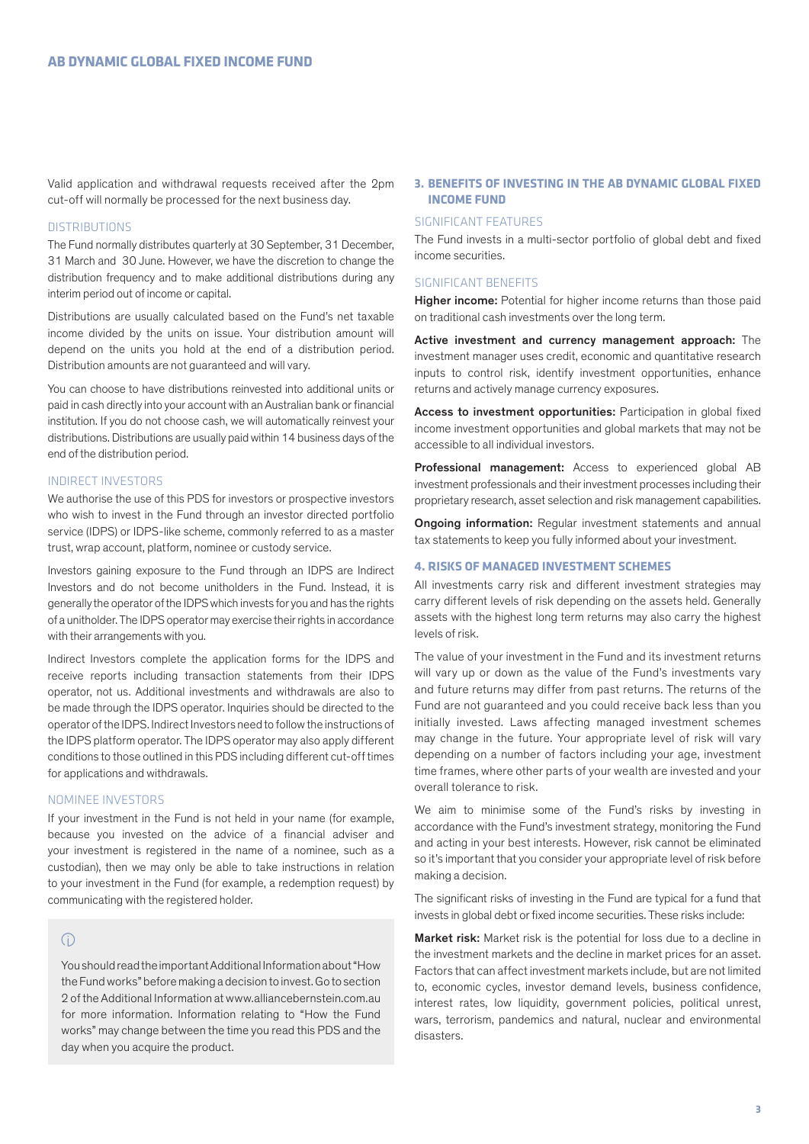Valid application and withdrawal requests received after the 2pm cut-off will normally be processed for the next business day.

# **DISTRIBUTIONS**

The Fund normally distributes quarterly at 30 September, 31 December, 31 March and 30 June. However, we have the discretion to change the distribution frequency and to make additional distributions during any interim period out of income or capital.

Distributions are usually calculated based on the Fund's net taxable income divided by the units on issue. Your distribution amount will depend on the units you hold at the end of a distribution period. Distribution amounts are not guaranteed and will vary.

You can choose to have distributions reinvested into additional units or paid in cash directly into your account with an Australian bank or financial institution. If you do not choose cash, we will automatically reinvest your distributions. Distributions are usually paid within 14 business days of the end of the distribution period.

#### INDIRECT INVESTORS

We authorise the use of this PDS for investors or prospective investors who wish to invest in the Fund through an investor directed portfolio service (IDPS) or IDPS-like scheme, commonly referred to as a master trust, wrap account, platform, nominee or custody service.

Investors gaining exposure to the Fund through an IDPS are Indirect Investors and do not become unitholders in the Fund. Instead, it is generally the operator of the IDPS which invests for you and has the rights of a unitholder. The IDPS operator may exercise their rights in accordance with their arrangements with you.

Indirect Investors complete the application forms for the IDPS and receive reports including transaction statements from their IDPS operator, not us. Additional investments and withdrawals are also to be made through the IDPS operator. Inquiries should be directed to the operator of the IDPS. Indirect Investors need to follow the instructions of the IDPS platform operator. The IDPS operator may also apply different conditions to those outlined in this PDS including different cut-off times for applications and withdrawals.

#### NOMINEE INVESTORS

If your investment in the Fund is not held in your name (for example, because you invested on the advice of a financial adviser and your investment is registered in the name of a nominee, such as a custodian), then we may only be able to take instructions in relation to your investment in the Fund (for example, a redemption request) by communicating with the registered holder.

# $\bigcap$

You should read the important Additional Information about "How the Fund works" before making a decision to invest. Go to section 2 of the Additional Information at www.alliancebernstein.com.au for more information. Information relating to "How the Fund works" may change between the time you read this PDS and the day when you acquire the product.

# **3. BENEFITS OF INVESTING IN THE AB DYNAMIC GLOBAL FIXED INCOME FUND**

#### SIGNIFICANT FEATURES

The Fund invests in a multi-sector portfolio of global debt and fixed income securities.

#### SIGNIFICANT BENEFITS

Higher income: Potential for higher income returns than those paid on traditional cash investments over the long term.

Active investment and currency management approach: The investment manager uses credit, economic and quantitative research inputs to control risk, identify investment opportunities, enhance returns and actively manage currency exposures.

Access to investment opportunities: Participation in global fixed income investment opportunities and global markets that may not be accessible to all individual investors.

Professional management: Access to experienced global AB investment professionals and their investment processes including their proprietary research, asset selection and risk management capabilities.

Ongoing information: Regular investment statements and annual tax statements to keep you fully informed about your investment.

# **4. RISKS OF MANAGED INVESTMENT SCHEMES**

All investments carry risk and different investment strategies may carry different levels of risk depending on the assets held. Generally assets with the highest long term returns may also carry the highest levels of risk.

The value of your investment in the Fund and its investment returns will vary up or down as the value of the Fund's investments vary and future returns may differ from past returns. The returns of the Fund are not guaranteed and you could receive back less than you initially invested. Laws affecting managed investment schemes may change in the future. Your appropriate level of risk will vary depending on a number of factors including your age, investment time frames, where other parts of your wealth are invested and your overall tolerance to risk.

We aim to minimise some of the Fund's risks by investing in accordance with the Fund's investment strategy, monitoring the Fund and acting in your best interests. However, risk cannot be eliminated so it's important that you consider your appropriate level of risk before making a decision.

The significant risks of investing in the Fund are typical for a fund that invests in global debt or fixed income securities. These risks include:

Market risk: Market risk is the potential for loss due to a decline in the investment markets and the decline in market prices for an asset. Factors that can affect investment markets include, but are not limited to, economic cycles, investor demand levels, business confidence, interest rates, low liquidity, government policies, political unrest, wars, terrorism, pandemics and natural, nuclear and environmental disasters.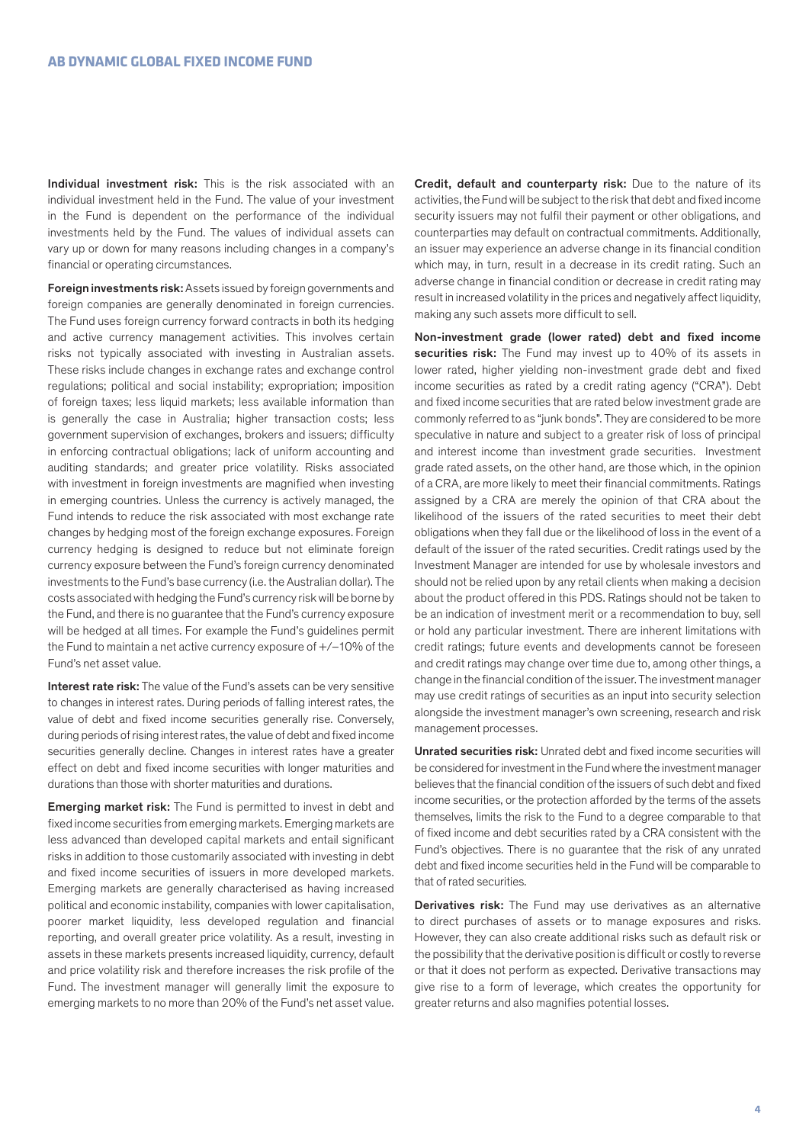Individual investment risk: This is the risk associated with an individual investment held in the Fund. The value of your investment in the Fund is dependent on the performance of the individual investments held by the Fund. The values of individual assets can vary up or down for many reasons including changes in a company's financial or operating circumstances.

Foreign investments risk: Assets issued by foreign governments and foreign companies are generally denominated in foreign currencies. The Fund uses foreign currency forward contracts in both its hedging and active currency management activities. This involves certain risks not typically associated with investing in Australian assets. These risks include changes in exchange rates and exchange control regulations; political and social instability; expropriation; imposition of foreign taxes; less liquid markets; less available information than is generally the case in Australia; higher transaction costs; less government supervision of exchanges, brokers and issuers; difficulty in enforcing contractual obligations; lack of uniform accounting and auditing standards; and greater price volatility. Risks associated with investment in foreign investments are magnified when investing in emerging countries. Unless the currency is actively managed, the Fund intends to reduce the risk associated with most exchange rate changes by hedging most of the foreign exchange exposures. Foreign currency hedging is designed to reduce but not eliminate foreign currency exposure between the Fund's foreign currency denominated investments to the Fund's base currency (i.e. the Australian dollar). The costs associated with hedging the Fund's currency risk will be borne by the Fund, and there is no guarantee that the Fund's currency exposure will be hedged at all times. For example the Fund's guidelines permit the Fund to maintain a net active currency exposure of +/–10% of the Fund's net asset value.

Interest rate risk: The value of the Fund's assets can be very sensitive to changes in interest rates. During periods of falling interest rates, the value of debt and fixed income securities generally rise. Conversely, during periods of rising interest rates, the value of debt and fixed income securities generally decline. Changes in interest rates have a greater effect on debt and fixed income securities with longer maturities and durations than those with shorter maturities and durations.

Emerging market risk: The Fund is permitted to invest in debt and fixed income securities from emerging markets. Emerging markets are less advanced than developed capital markets and entail significant risks in addition to those customarily associated with investing in debt and fixed income securities of issuers in more developed markets. Emerging markets are generally characterised as having increased political and economic instability, companies with lower capitalisation, poorer market liquidity, less developed regulation and financial reporting, and overall greater price volatility. As a result, investing in assets in these markets presents increased liquidity, currency, default and price volatility risk and therefore increases the risk profile of the Fund. The investment manager will generally limit the exposure to emerging markets to no more than 20% of the Fund's net asset value.

Credit, default and counterparty risk: Due to the nature of its activities, the Fund will be subject to the risk that debt and fixed income security issuers may not fulfil their payment or other obligations, and counterparties may default on contractual commitments. Additionally, an issuer may experience an adverse change in its financial condition which may, in turn, result in a decrease in its credit rating. Such an adverse change in financial condition or decrease in credit rating may result in increased volatility in the prices and negatively affect liquidity. making any such assets more difficult to sell.

Non-investment grade (lower rated) debt and fixed income securities risk: The Fund may invest up to 40% of its assets in lower rated, higher yielding non-investment grade debt and fixed income securities as rated by a credit rating agency ("CRA"). Debt and fixed income securities that are rated below investment grade are commonly referred to as "junk bonds". They are considered to be more speculative in nature and subject to a greater risk of loss of principal and interest income than investment grade securities. Investment grade rated assets, on the other hand, are those which, in the opinion of a CRA, are more likely to meet their financial commitments. Ratings assigned by a CRA are merely the opinion of that CRA about the likelihood of the issuers of the rated securities to meet their debt obligations when they fall due or the likelihood of loss in the event of a default of the issuer of the rated securities. Credit ratings used by the Investment Manager are intended for use by wholesale investors and should not be relied upon by any retail clients when making a decision about the product offered in this PDS. Ratings should not be taken to be an indication of investment merit or a recommendation to buy, sell or hold any particular investment. There are inherent limitations with credit ratings; future events and developments cannot be foreseen and credit ratings may change over time due to, among other things, a change in the financial condition of the issuer. The investment manager may use credit ratings of securities as an input into security selection alongside the investment manager's own screening, research and risk management processes.

Unrated securities risk: Unrated debt and fixed income securities will be considered for investment in the Fund where the investment manager believes that the financial condition of the issuers of such debt and fixed income securities, or the protection afforded by the terms of the assets themselves, limits the risk to the Fund to a degree comparable to that of fixed income and debt securities rated by a CRA consistent with the Fund's objectives. There is no guarantee that the risk of any unrated debt and fixed income securities held in the Fund will be comparable to that of rated securities.

Derivatives risk: The Fund may use derivatives as an alternative to direct purchases of assets or to manage exposures and risks. However, they can also create additional risks such as default risk or the possibility that the derivative position is difficult or costly to reverse or that it does not perform as expected. Derivative transactions may give rise to a form of leverage, which creates the opportunity for greater returns and also magnifies potential losses.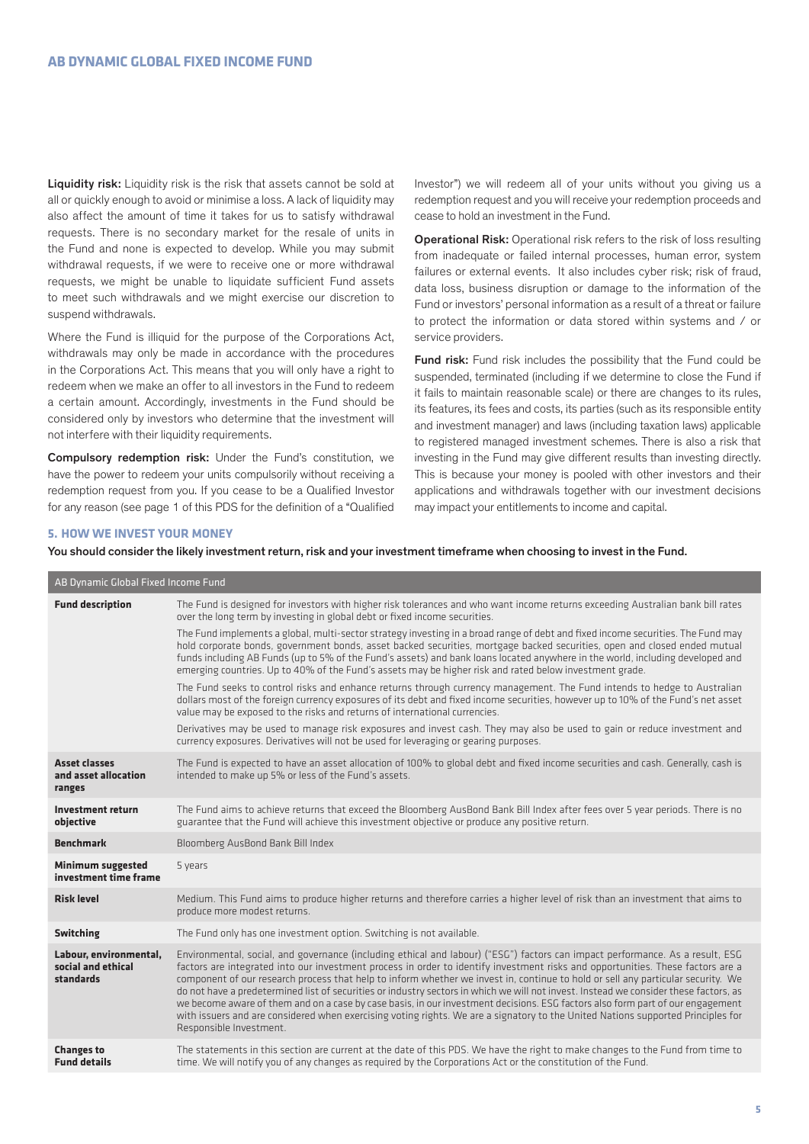Liquidity risk: Liquidity risk is the risk that assets cannot be sold at all or quickly enough to avoid or minimise a loss. A lack of liquidity may also affect the amount of time it takes for us to satisfy withdrawal requests. There is no secondary market for the resale of units in the Fund and none is expected to develop. While you may submit withdrawal requests, if we were to receive one or more withdrawal requests, we might be unable to liquidate sufficient Fund assets to meet such withdrawals and we might exercise our discretion to suspend withdrawals.

Where the Fund is illiquid for the purpose of the Corporations Act, withdrawals may only be made in accordance with the procedures in the Corporations Act. This means that you will only have a right to redeem when we make an offer to all investors in the Fund to redeem a certain amount. Accordingly, investments in the Fund should be considered only by investors who determine that the investment will not interfere with their liquidity requirements.

Compulsory redemption risk: Under the Fund's constitution, we have the power to redeem your units compulsorily without receiving a redemption request from you. If you cease to be a Qualified Investor for any reason (see page 1 of this PDS for the definition of a "Qualified Investor") we will redeem all of your units without you giving us a redemption request and you will receive your redemption proceeds and cease to hold an investment in the Fund.

Operational Risk: Operational risk refers to the risk of loss resulting from inadequate or failed internal processes, human error, system failures or external events. It also includes cyber risk; risk of fraud, data loss, business disruption or damage to the information of the Fund or investors' personal information as a result of a threat or failure to protect the information or data stored within systems and / or service providers.

Fund risk: Fund risk includes the possibility that the Fund could be suspended, terminated (including if we determine to close the Fund if it fails to maintain reasonable scale) or there are changes to its rules, its features, its fees and costs, its parties (such as its responsible entity and investment manager) and laws (including taxation laws) applicable to registered managed investment schemes. There is also a risk that investing in the Fund may give different results than investing directly. This is because your money is pooled with other investors and their applications and withdrawals together with our investment decisions may impact your entitlements to income and capital.

#### **5. HOW WE INVEST YOUR MONEY**

You should consider the likely investment return, risk and your investment timeframe when choosing to invest in the Fund.

| AB Dynamic Global Fixed Income Fund                       |                                                                                                                                                                                                                                                                                                                                                                                                                                                                                                                                                                                                                                                                                                                                                                                                                                                |  |  |  |
|-----------------------------------------------------------|------------------------------------------------------------------------------------------------------------------------------------------------------------------------------------------------------------------------------------------------------------------------------------------------------------------------------------------------------------------------------------------------------------------------------------------------------------------------------------------------------------------------------------------------------------------------------------------------------------------------------------------------------------------------------------------------------------------------------------------------------------------------------------------------------------------------------------------------|--|--|--|
| <b>Fund description</b>                                   | The Fund is designed for investors with higher risk tolerances and who want income returns exceeding Australian bank bill rates<br>over the long term by investing in global debt or fixed income securities.                                                                                                                                                                                                                                                                                                                                                                                                                                                                                                                                                                                                                                  |  |  |  |
|                                                           | The Fund implements a global, multi-sector strategy investing in a broad range of debt and fixed income securities. The Fund may<br>hold corporate bonds, government bonds, asset backed securities, mortgage backed securities, open and closed ended mutual<br>funds including AB Funds (up to 5% of the Fund's assets) and bank loans located anywhere in the world, including developed and<br>emerging countries. Up to 40% of the Fund's assets may be higher risk and rated below investment grade.                                                                                                                                                                                                                                                                                                                                     |  |  |  |
|                                                           | The Fund seeks to control risks and enhance returns through currency management. The Fund intends to hedge to Australian<br>dollars most of the foreign currency exposures of its debt and fixed income securities, however up to 10% of the Fund's net asset<br>value may be exposed to the risks and returns of international currencies.                                                                                                                                                                                                                                                                                                                                                                                                                                                                                                    |  |  |  |
|                                                           | Derivatives may be used to manage risk exposures and invest cash. They may also be used to gain or reduce investment and<br>currency exposures. Derivatives will not be used for leveraging or gearing purposes.                                                                                                                                                                                                                                                                                                                                                                                                                                                                                                                                                                                                                               |  |  |  |
| <b>Asset classes</b><br>and asset allocation<br>ranges    | The Fund is expected to have an asset allocation of 100% to global debt and fixed income securities and cash. Generally, cash is<br>intended to make up 5% or less of the Fund's assets.                                                                                                                                                                                                                                                                                                                                                                                                                                                                                                                                                                                                                                                       |  |  |  |
| Investment return<br>objective                            | The Fund aims to achieve returns that exceed the Bloomberg AusBond Bank Bill Index after fees over 5 year periods. There is no<br>guarantee that the Fund will achieve this investment objective or produce any positive return.                                                                                                                                                                                                                                                                                                                                                                                                                                                                                                                                                                                                               |  |  |  |
| <b>Benchmark</b>                                          | Bloomberg AusBond Bank Bill Index                                                                                                                                                                                                                                                                                                                                                                                                                                                                                                                                                                                                                                                                                                                                                                                                              |  |  |  |
| <b>Minimum suggested</b><br>investment time frame         | 5 years                                                                                                                                                                                                                                                                                                                                                                                                                                                                                                                                                                                                                                                                                                                                                                                                                                        |  |  |  |
| <b>Risk level</b>                                         | Medium. This Fund aims to produce higher returns and therefore carries a higher level of risk than an investment that aims to<br>produce more modest returns.                                                                                                                                                                                                                                                                                                                                                                                                                                                                                                                                                                                                                                                                                  |  |  |  |
| <b>Switching</b>                                          | The Fund only has one investment option. Switching is not available.                                                                                                                                                                                                                                                                                                                                                                                                                                                                                                                                                                                                                                                                                                                                                                           |  |  |  |
| Labour, environmental,<br>social and ethical<br>standards | Environmental, social, and governance (including ethical and labour) ("ESG") factors can impact performance. As a result, ESG<br>factors are integrated into our investment process in order to identify investment risks and opportunities. These factors are a<br>component of our research process that help to inform whether we invest in, continue to hold or sell any particular security. We<br>do not have a predetermined list of securities or industry sectors in which we will not invest. Instead we consider these factors, as<br>we become aware of them and on a case by case basis, in our investment decisions. ESG factors also form part of our engagement<br>with issuers and are considered when exercising voting rights. We are a signatory to the United Nations supported Principles for<br>Responsible Investment. |  |  |  |
| <b>Changes to</b><br><b>Fund details</b>                  | The statements in this section are current at the date of this PDS. We have the right to make changes to the Fund from time to<br>time. We will notify you of any changes as required by the Corporations Act or the constitution of the Fund.                                                                                                                                                                                                                                                                                                                                                                                                                                                                                                                                                                                                 |  |  |  |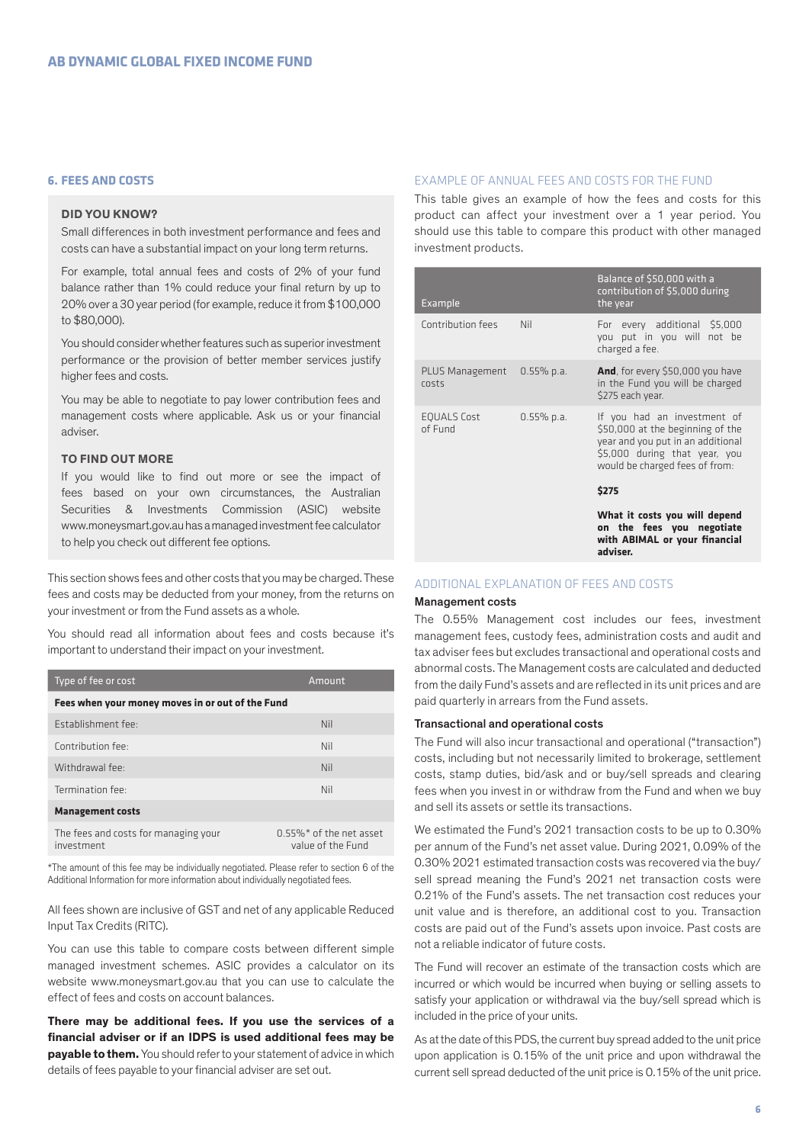# **6. FEES AND COSTS**

# **DID YOU KNOW?**

Small differences in both investment performance and fees and costs can have a substantial impact on your long term returns.

For example, total annual fees and costs of 2% of your fund balance rather than 1% could reduce your final return by up to 20% over a 30 year period (for example, reduce it from \$100,000 to \$80,000).

You should consider whether features such as superior investment performance or the provision of better member services justify higher fees and costs.

You may be able to negotiate to pay lower contribution fees and management costs where applicable. Ask us or your financial adviser.

# **TO FIND OUT MORE**

If you would like to find out more or see the impact of fees based on your own circumstances, the Australian Securities & Investments Commission (ASIC) website www.moneysmart.gov.au has a managed investment fee calculator to help you check out different fee options.

This section shows fees and other costs that you may be charged. These fees and costs may be deducted from your money, from the returns on your investment or from the Fund assets as a whole.

You should read all information about fees and costs because it's important to understand their impact on your investment.

| Type of fee or cost                                | Amount                                           |  |  |
|----------------------------------------------------|--------------------------------------------------|--|--|
| Fees when your money moves in or out of the Fund   |                                                  |  |  |
| Establishment fee:                                 | Nil                                              |  |  |
| Contribution fee:                                  | Nil                                              |  |  |
| Withdrawal fee:                                    | Nil                                              |  |  |
| Termination fee:                                   | Nil                                              |  |  |
| <b>Management costs</b>                            |                                                  |  |  |
| The fees and costs for managing your<br>investment | $0.55\%$ * of the net asset<br>value of the Fund |  |  |

\*The amount of this fee may be individually negotiated. Please refer to section 6 of the Additional Information for more information about individually negotiated fees.

All fees shown are inclusive of GST and net of any applicable Reduced Input Tax Credits (RITC).

You can use this table to compare costs between different simple managed investment schemes. ASIC provides a calculator on its website www.moneysmart.gov.au that you can use to calculate the effect of fees and costs on account balances.

**There may be additional fees. If you use the services of a financial adviser or if an IDPS is used additional fees may be payable to them.** You should refer to your statement of advice in which details of fees payable to your financial adviser are set out.

#### EXAMPLE OF ANNUAL FEES AND COSTS FOR THE FUND

This table gives an example of how the fees and costs for this product can affect your investment over a 1 year period. You should use this table to compare this product with other managed investment products.

| Example                       |               | Balance of \$50,000 with a<br>contribution of \$5,000 during<br>the year                                                                                                |
|-------------------------------|---------------|-------------------------------------------------------------------------------------------------------------------------------------------------------------------------|
| Contribution fees             | Nil           | For every additional \$5,000<br>you put in you will not be<br>charged a fee.                                                                                            |
| PLUS Management<br>costs      | $0.55\%$ p.a. | <b>And</b> , for every \$50,000 you have<br>in the Fund you will be charged<br>\$275 each year.                                                                         |
| <b>EQUALS Cost</b><br>of Fund | $0.55\%$ p.a. | If you had an investment of<br>\$50,000 at the beginning of the<br>year and you put in an additional<br>\$5,000 during that year, you<br>would be charged fees of from: |
|                               |               | \$275                                                                                                                                                                   |
|                               |               | What it costs you will depend<br>on the fees you negotiate<br>with ABIMAL or your financial<br>adviser.                                                                 |

# ADDITIONAL EXPLANATION OF FEES AND COSTS

## Management costs

The 0.55% Management cost includes our fees, investment management fees, custody fees, administration costs and audit and tax adviser fees but excludes transactional and operational costs and abnormal costs. The Management costs are calculated and deducted from the daily Fund's assets and are reflected in its unit prices and are paid quarterly in arrears from the Fund assets.

## Transactional and operational costs

The Fund will also incur transactional and operational ("transaction") costs, including but not necessarily limited to brokerage, settlement costs, stamp duties, bid/ask and or buy/sell spreads and clearing fees when you invest in or withdraw from the Fund and when we buy and sell its assets or settle its transactions.

We estimated the Fund's 2021 transaction costs to be up to 0.30% per annum of the Fund's net asset value. During 2021, 0.09% of the 0.30% 2021 estimated transaction costs was recovered via the buy/ sell spread meaning the Fund's 2021 net transaction costs were 0.21% of the Fund's assets. The net transaction cost reduces your unit value and is therefore, an additional cost to you. Transaction costs are paid out of the Fund's assets upon invoice. Past costs are not a reliable indicator of future costs.

The Fund will recover an estimate of the transaction costs which are incurred or which would be incurred when buying or selling assets to satisfy your application or withdrawal via the buy/sell spread which is included in the price of your units.

As at the date of this PDS, the current buy spread added to the unit price upon application is 0.15% of the unit price and upon withdrawal the current sell spread deducted of the unit price is 0.15% of the unit price.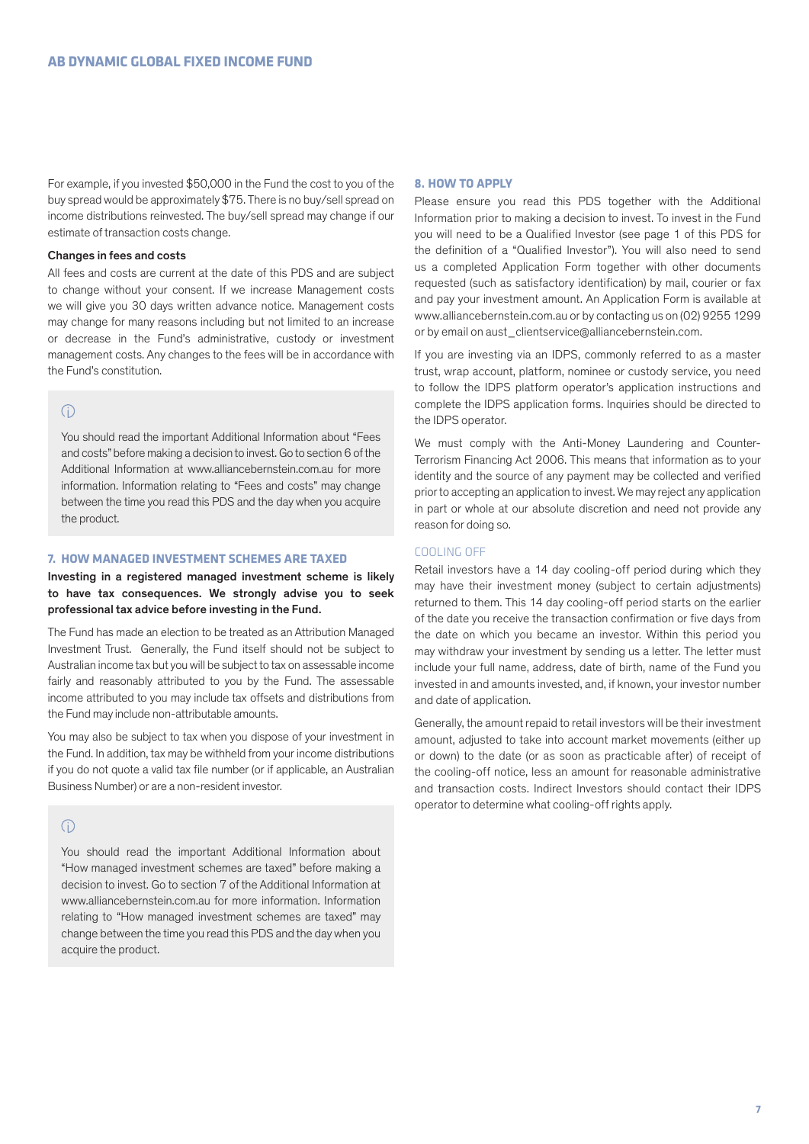For example, if you invested \$50,000 in the Fund the cost to you of the buy spread would be approximately \$75. There is no buy/sell spread on income distributions reinvested. The buy/sell spread may change if our estimate of transaction costs change.

#### Changes in fees and costs

All fees and costs are current at the date of this PDS and are subject to change without your consent. If we increase Management costs we will give you 30 days written advance notice. Management costs may change for many reasons including but not limited to an increase or decrease in the Fund's administrative, custody or investment management costs. Any changes to the fees will be in accordance with the Fund's constitution.

# $\bigcap$

You should read the important Additional Information about "Fees and costs" before making a decision to invest. Go to section 6 of the Additional Information at www.alliancebernstein.com.au for more information. Information relating to "Fees and costs" may change between the time you read this PDS and the day when you acquire the product.

#### **7. HOW MANAGED INVESTMENT SCHEMES ARE TAXED**

Investing in a registered managed investment scheme is likely to have tax consequences. We strongly advise you to seek professional tax advice before investing in the Fund.

The Fund has made an election to be treated as an Attribution Managed Investment Trust. Generally, the Fund itself should not be subject to Australian income tax but you will be subject to tax on assessable income fairly and reasonably attributed to you by the Fund. The assessable income attributed to you may include tax offsets and distributions from the Fund may include non-attributable amounts.

You may also be subject to tax when you dispose of your investment in the Fund. In addition, tax may be withheld from your income distributions if you do not quote a valid tax file number (or if applicable, an Australian Business Number) or are a non-resident investor.

# $\bigcap$

You should read the important Additional Information about "How managed investment schemes are taxed" before making a decision to invest. Go to section 7 of the Additional Information at www.alliancebernstein.com.au for more information. Information relating to "How managed investment schemes are taxed" may change between the time you read this PDS and the day when you acquire the product.

#### **8. HOW TO APPLY**

Please ensure you read this PDS together with the Additional Information prior to making a decision to invest. To invest in the Fund you will need to be a Qualified Investor (see page 1 of this PDS for the definition of a "Qualified Investor"). You will also need to send us a completed Application Form together with other documents requested (such as satisfactory identification) by mail, courier or fax and pay your investment amount. An Application Form is available at www.alliancebernstein.com.au or by contacting us on (02) 9255 1299 or by email on aust\_clientservice@alliancebernstein.com.

If you are investing via an IDPS, commonly referred to as a master trust, wrap account, platform, nominee or custody service, you need to follow the IDPS platform operator's application instructions and complete the IDPS application forms. Inquiries should be directed to the IDPS operator.

We must comply with the Anti-Money Laundering and Counter-Terrorism Financing Act 2006. This means that information as to your identity and the source of any payment may be collected and verified prior to accepting an application to invest. We may reject any application in part or whole at our absolute discretion and need not provide any reason for doing so.

#### COOLING OFF

Retail investors have a 14 day cooling-off period during which they may have their investment money (subject to certain adjustments) returned to them. This 14 day cooling-off period starts on the earlier of the date you receive the transaction confirmation or five days from the date on which you became an investor. Within this period you may withdraw your investment by sending us a letter. The letter must include your full name, address, date of birth, name of the Fund you invested in and amounts invested, and, if known, your investor number and date of application.

Generally, the amount repaid to retail investors will be their investment amount, adjusted to take into account market movements (either up or down) to the date (or as soon as practicable after) of receipt of the cooling-off notice, less an amount for reasonable administrative and transaction costs. Indirect Investors should contact their IDPS operator to determine what cooling-off rights apply.